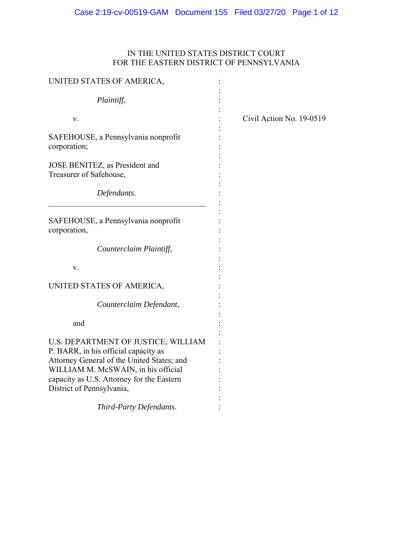# IN THE UNITED STATES DISTRICT COURT FOR THE EASTERN DISTRICT OF PENNSYLVANIA

| UNITED STATES OF AMERICA,                                                                                                                                                                                                                  |                          |
|--------------------------------------------------------------------------------------------------------------------------------------------------------------------------------------------------------------------------------------------|--------------------------|
| Plaintiff,                                                                                                                                                                                                                                 |                          |
| V.                                                                                                                                                                                                                                         | Civil Action No. 19-0519 |
| SAFEHOUSE, a Pennsylvania nonprofit<br>corporation;                                                                                                                                                                                        |                          |
| JOSE BENITEZ, as President and<br>Treasurer of Safehouse,                                                                                                                                                                                  |                          |
| Defendants.                                                                                                                                                                                                                                |                          |
| SAFEHOUSE, a Pennsylvania nonprofit<br>corporation,                                                                                                                                                                                        |                          |
| Counterclaim Plaintiff,                                                                                                                                                                                                                    |                          |
| v.                                                                                                                                                                                                                                         |                          |
| UNITED STATES OF AMERICA,                                                                                                                                                                                                                  |                          |
| Counterclaim Defendant,                                                                                                                                                                                                                    |                          |
| and                                                                                                                                                                                                                                        |                          |
| U.S. DEPARTMENT OF JUSTICE; WILLIAM<br>P. BARR, in his official capacity as<br>Attorney General of the United States; and<br>WILLIAM M. McSWAIN, in his official<br>capacity as U.S. Attorney for the Eastern<br>District of Pennsylvania, |                          |
| Third-Party Defendants.                                                                                                                                                                                                                    |                          |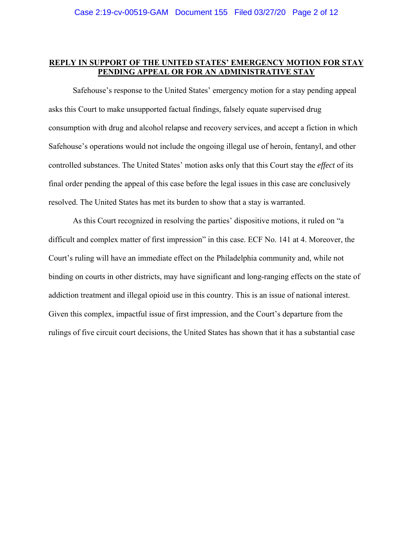## **REPLY IN SUPPORT OF THE UNITED STATES' EMERGENCY MOTION FOR STAY PENDING APPEAL OR FOR AN ADMINISTRATIVE STAY**

 Safehouse's response to the United States' emergency motion for a stay pending appeal asks this Court to make unsupported factual findings, falsely equate supervised drug consumption with drug and alcohol relapse and recovery services, and accept a fiction in which Safehouse's operations would not include the ongoing illegal use of heroin, fentanyl, and other controlled substances. The United States' motion asks only that this Court stay the *effect* of its final order pending the appeal of this case before the legal issues in this case are conclusively resolved. The United States has met its burden to show that a stay is warranted.

As this Court recognized in resolving the parties' dispositive motions, it ruled on "a difficult and complex matter of first impression" in this case. ECF No. 141 at 4. Moreover, the Court's ruling will have an immediate effect on the Philadelphia community and, while not binding on courts in other districts, may have significant and long-ranging effects on the state of addiction treatment and illegal opioid use in this country. This is an issue of national interest. Given this complex, impactful issue of first impression, and the Court's departure from the rulings of five circuit court decisions, the United States has shown that it has a substantial case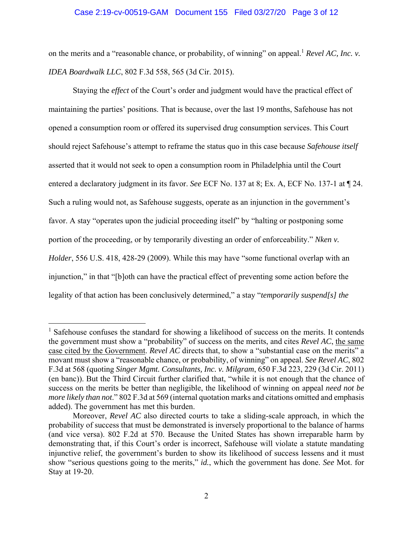## Case 2:19-cv-00519-GAM Document 155 Filed 03/27/20 Page 3 of 12

on the merits and a "reasonable chance, or probability, of winning" on appeal.<sup>1</sup> *Revel AC, Inc. v. IDEA Boardwalk LLC*, 802 F.3d 558, 565 (3d Cir. 2015).

Staying the *effect* of the Court's order and judgment would have the practical effect of maintaining the parties' positions. That is because, over the last 19 months, Safehouse has not opened a consumption room or offered its supervised drug consumption services. This Court should reject Safehouse's attempt to reframe the status quo in this case because *Safehouse itself*  asserted that it would not seek to open a consumption room in Philadelphia until the Court entered a declaratory judgment in its favor. *See* ECF No. 137 at 8; Ex. A, ECF No. 137-1 at ¶ 24. Such a ruling would not, as Safehouse suggests, operate as an injunction in the government's favor. A stay "operates upon the judicial proceeding itself" by "halting or postponing some portion of the proceeding, or by temporarily divesting an order of enforceability." *Nken v. Holder*, 556 U.S. 418, 428-29 (2009). While this may have "some functional overlap with an injunction," in that "[b]oth can have the practical effect of preventing some action before the legality of that action has been conclusively determined," a stay "*temporarily suspend[s] the* 

<sup>&</sup>lt;sup>1</sup> Safehouse confuses the standard for showing a likelihood of success on the merits. It contends the government must show a "probability" of success on the merits, and cites *Revel AC*, the same case cited by the Government. *Revel AC* directs that, to show a "substantial case on the merits" a movant must show a "reasonable chance, or probability, of winning" on appeal. *See Revel AC*, 802 F.3d at 568 (quoting *Singer Mgmt. Consultants, Inc. v. Milgram*, 650 F.3d 223, 229 (3d Cir. 2011) (en banc)). But the Third Circuit further clarified that, "while it is not enough that the chance of success on the merits be better than negligible, the likelihood of winning on appeal *need not be more likely than not*." 802 F.3d at 569 (internal quotation marks and citations omitted and emphasis added). The government has met this burden.

Moreover, *Revel AC* also directed courts to take a sliding-scale approach, in which the probability of success that must be demonstrated is inversely proportional to the balance of harms (and vice versa). 802 F.2d at 570. Because the United States has shown irreparable harm by demonstrating that, if this Court's order is incorrect, Safehouse will violate a statute mandating injunctive relief, the government's burden to show its likelihood of success lessens and it must show "serious questions going to the merits," *id.*, which the government has done. *See* Mot. for Stay at 19-20.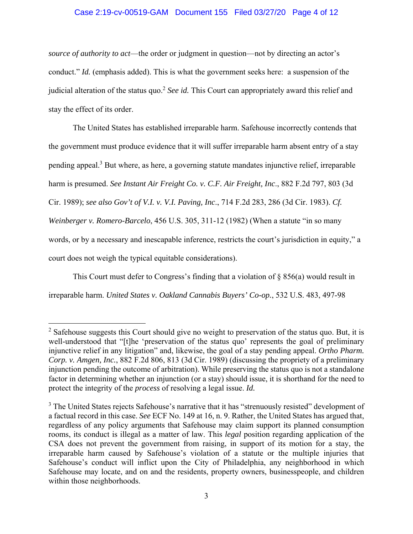## Case 2:19-cv-00519-GAM Document 155 Filed 03/27/20 Page 4 of 12

*source of authority to act*—the order or judgment in question—not by directing an actor's conduct." *Id.* (emphasis added). This is what the government seeks here: a suspension of the judicial alteration of the status quo.2 *See id.* This Court can appropriately award this relief and stay the effect of its order.

The United States has established irreparable harm. Safehouse incorrectly contends that the government must produce evidence that it will suffer irreparable harm absent entry of a stay pending appeal.<sup>3</sup> But where, as here, a governing statute mandates injunctive relief, irreparable harm is presumed. *See Instant Air Freight Co. v. C.F. Air Freight, Inc*., 882 F.2d 797, 803 (3d Cir. 1989); *see also Gov't of V.I. v. V.I. Paving, Inc*., 714 F.2d 283, 286 (3d Cir. 1983). *Cf. Weinberger v. Romero-Barcelo*, 456 U.S. 305, 311-12 (1982) (When a statute "in so many words, or by a necessary and inescapable inference, restricts the court's jurisdiction in equity," a court does not weigh the typical equitable considerations).

This Court must defer to Congress's finding that a violation of § 856(a) would result in irreparable harm. *United States v. Oakland Cannabis Buyers' Co-op.*, 532 U.S. 483, 497-98

 $2$  Safehouse suggests this Court should give no weight to preservation of the status quo. But, it is well-understood that "[t]he 'preservation of the status quo' represents the goal of preliminary injunctive relief in any litigation" and, likewise, the goal of a stay pending appeal. *Ortho Pharm. Corp. v. Amgen, Inc.*, 882 F.2d 806, 813 (3d Cir. 1989) (discussing the propriety of a preliminary injunction pending the outcome of arbitration). While preserving the status quo is not a standalone factor in determining whether an injunction (or a stay) should issue, it is shorthand for the need to protect the integrity of the *process* of resolving a legal issue. *Id.* 

<sup>&</sup>lt;sup>3</sup> The United States rejects Safehouse's narrative that it has "strenuously resisted" development of a factual record in this case. *See* ECF No. 149 at 16, n. 9. Rather, the United States has argued that, regardless of any policy arguments that Safehouse may claim support its planned consumption rooms, its conduct is illegal as a matter of law. This *legal* position regarding application of the CSA does not prevent the government from raising, in support of its motion for a stay, the irreparable harm caused by Safehouse's violation of a statute or the multiple injuries that Safehouse's conduct will inflict upon the City of Philadelphia, any neighborhood in which Safehouse may locate, and on and the residents, property owners, businesspeople, and children within those neighborhoods.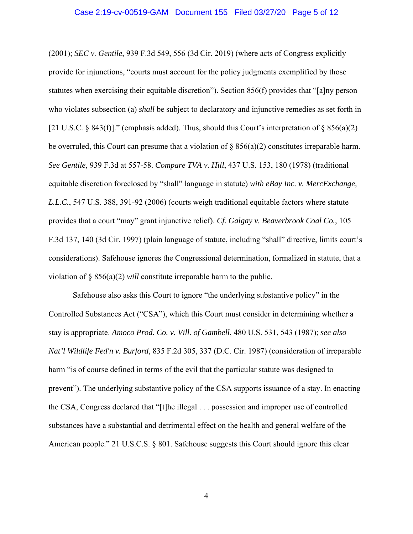(2001); *SEC v. Gentile*, 939 F.3d 549, 556 (3d Cir. 2019) (where acts of Congress explicitly provide for injunctions, "courts must account for the policy judgments exemplified by those statutes when exercising their equitable discretion"). Section 856(f) provides that "[a]ny person who violates subsection (a) *shall* be subject to declaratory and injunctive remedies as set forth in [21 U.S.C. § 843(f)]." (emphasis added). Thus, should this Court's interpretation of § 856(a)(2) be overruled, this Court can presume that a violation of  $\S 856(a)(2)$  constitutes irreparable harm. *See Gentile*, 939 F.3d at 557-58. *Compare TVA v. Hill*, 437 U.S. 153, 180 (1978) (traditional equitable discretion foreclosed by "shall" language in statute) *with eBay Inc. v. MercExchange, L.L.C.*, 547 U.S. 388, 391-92 (2006) (courts weigh traditional equitable factors where statute provides that a court "may" grant injunctive relief). *Cf. Galgay v. Beaverbrook Coal Co.*, 105 F.3d 137, 140 (3d Cir. 1997) (plain language of statute, including "shall" directive, limits court's considerations). Safehouse ignores the Congressional determination, formalized in statute, that a violation of § 856(a)(2) *will* constitute irreparable harm to the public.

Safehouse also asks this Court to ignore "the underlying substantive policy" in the Controlled Substances Act ("CSA"), which this Court must consider in determining whether a stay is appropriate. *Amoco Prod. Co. v. Vill. of Gambell*, 480 U.S. 531, 543 (1987); *see also Nat'l Wildlife Fed'n v. Burford*, 835 F.2d 305, 337 (D.C. Cir. 1987) (consideration of irreparable harm "is of course defined in terms of the evil that the particular statute was designed to prevent"). The underlying substantive policy of the CSA supports issuance of a stay. In enacting the CSA, Congress declared that "[t]he illegal . . . possession and improper use of controlled substances have a substantial and detrimental effect on the health and general welfare of the American people." 21 U.S.C.S. § 801. Safehouse suggests this Court should ignore this clear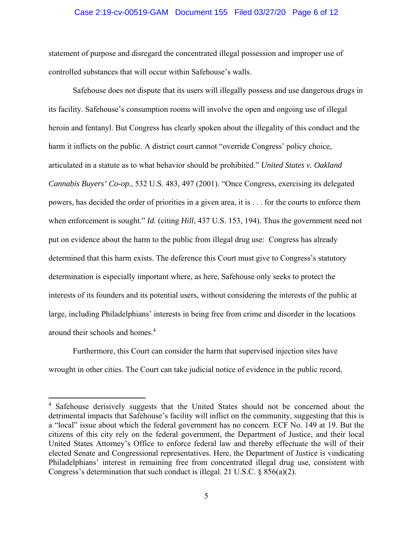## Case 2:19-cv-00519-GAM Document 155 Filed 03/27/20 Page 6 of 12

statement of purpose and disregard the concentrated illegal possession and improper use of controlled substances that will occur within Safehouse's walls.

Safehouse does not dispute that its users will illegally possess and use dangerous drugs in its facility. Safehouse's consumption rooms will involve the open and ongoing use of illegal heroin and fentanyl. But Congress has clearly spoken about the illegality of this conduct and the harm it inflicts on the public. A district court cannot "override Congress' policy choice, articulated in a statute as to what behavior should be prohibited." *United States v. Oakland Cannabis Buyers' Co-op.*, 532 U.S. 483, 497 (2001). "Once Congress, exercising its delegated powers, has decided the order of priorities in a given area, it is . . . for the courts to enforce them when enforcement is sought." *Id.* (citing *Hill*, 437 U.S. 153, 194). Thus the government need not put on evidence about the harm to the public from illegal drug use: Congress has already determined that this harm exists. The deference this Court must give to Congress's statutory determination is especially important where, as here, Safehouse only seeks to protect the interests of its founders and its potential users, without considering the interests of the public at large, including Philadelphians' interests in being free from crime and disorder in the locations around their schools and homes.<sup>4</sup>

Furthermore, this Court can consider the harm that supervised injection sites have wrought in other cities. The Court can take judicial notice of evidence in the public record,

<sup>&</sup>lt;sup>4</sup> Safehouse derisively suggests that the United States should not be concerned about the detrimental impacts that Safehouse's facility will inflict on the community, suggesting that this is a "local" issue about which the federal government has no concern. ECF No. 149 at 19. But the citizens of this city rely on the federal government, the Department of Justice, and their local United States Attorney's Office to enforce federal law and thereby effectuate the will of their elected Senate and Congressional representatives. Here, the Department of Justice is vindicating Philadelphians' interest in remaining free from concentrated illegal drug use, consistent with Congress's determination that such conduct is illegal. 21 U.S.C. § 856(a)(2).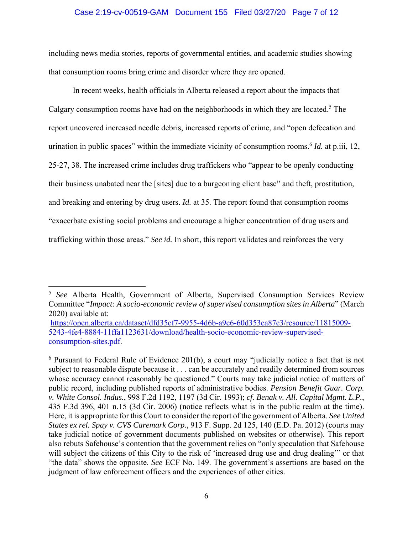## Case 2:19-cv-00519-GAM Document 155 Filed 03/27/20 Page 7 of 12

including news media stories, reports of governmental entities, and academic studies showing that consumption rooms bring crime and disorder where they are opened.

In recent weeks, health officials in Alberta released a report about the impacts that Calgary consumption rooms have had on the neighborhoods in which they are located.<sup>5</sup> The report uncovered increased needle debris, increased reports of crime, and "open defecation and urination in public spaces" within the immediate vicinity of consumption rooms.<sup>6</sup> *Id.* at p.iii, 12, 25-27, 38. The increased crime includes drug traffickers who "appear to be openly conducting their business unabated near the [sites] due to a burgeoning client base" and theft, prostitution, and breaking and entering by drug users. *Id.* at 35. The report found that consumption rooms "exacerbate existing social problems and encourage a higher concentration of drug users and trafficking within those areas." *See id.* In short, this report validates and reinforces the very

<sup>5</sup> *See* Alberta Health, Government of Alberta, Supervised Consumption Services Review Committee "*Impact: A socio-economic review of supervised consumption sites in Alberta*" (March 2020) available at:

https://open.alberta.ca/dataset/dfd35cf7-9955-4d6b-a9c6-60d353ea87c3/resource/11815009- 5243-4fe4-8884-11ffa1123631/download/health-socio-economic-review-supervisedconsumption-sites.pdf.

<sup>&</sup>lt;sup>6</sup> Pursuant to Federal Rule of Evidence 201(b), a court may "judicially notice a fact that is not subject to reasonable dispute because it . . . can be accurately and readily determined from sources whose accuracy cannot reasonably be questioned." Courts may take judicial notice of matters of public record, including published reports of administrative bodies. *Pension Benefit Guar. Corp. v. White Consol. Indus.*, 998 F.2d 1192, 1197 (3d Cir. 1993); *cf. Benak v. All. Capital Mgmt. L.P.*, 435 F.3d 396, 401 n.15 (3d Cir. 2006) (notice reflects what is in the public realm at the time). Here, it is appropriate for this Court to consider the report of the government of Alberta. *See United States ex rel. Spay v. CVS Caremark Corp.*, 913 F. Supp. 2d 125, 140 (E.D. Pa. 2012) (courts may take judicial notice of government documents published on websites or otherwise). This report also rebuts Safehouse's contention that the government relies on "only speculation that Safehouse will subject the citizens of this City to the risk of 'increased drug use and drug dealing'" or that "the data" shows the opposite. *See* ECF No. 149. The government's assertions are based on the judgment of law enforcement officers and the experiences of other cities.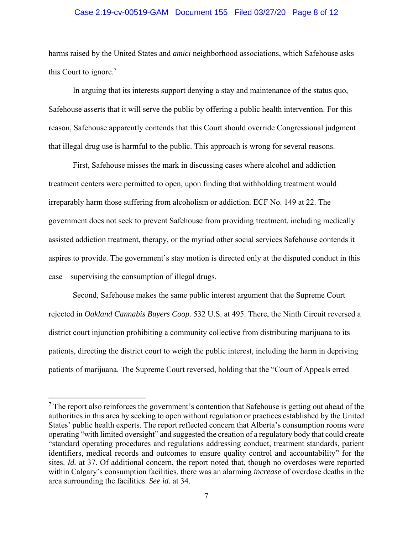## Case 2:19-cv-00519-GAM Document 155 Filed 03/27/20 Page 8 of 12

harms raised by the United States and *amici* neighborhood associations, which Safehouse asks this Court to ignore. $7$ 

In arguing that its interests support denying a stay and maintenance of the status quo, Safehouse asserts that it will serve the public by offering a public health intervention. For this reason, Safehouse apparently contends that this Court should override Congressional judgment that illegal drug use is harmful to the public. This approach is wrong for several reasons.

First, Safehouse misses the mark in discussing cases where alcohol and addiction treatment centers were permitted to open, upon finding that withholding treatment would irreparably harm those suffering from alcoholism or addiction. ECF No. 149 at 22. The government does not seek to prevent Safehouse from providing treatment, including medically assisted addiction treatment, therapy, or the myriad other social services Safehouse contends it aspires to provide. The government's stay motion is directed only at the disputed conduct in this case—supervising the consumption of illegal drugs.

Second, Safehouse makes the same public interest argument that the Supreme Court rejected in *Oakland Cannabis Buyers Coop.* 532 U.S. at 495. There, the Ninth Circuit reversed a district court injunction prohibiting a community collective from distributing marijuana to its patients, directing the district court to weigh the public interest, including the harm in depriving patients of marijuana. The Supreme Court reversed, holding that the "Court of Appeals erred

 $7$  The report also reinforces the government's contention that Safehouse is getting out ahead of the authorities in this area by seeking to open without regulation or practices established by the United States' public health experts. The report reflected concern that Alberta's consumption rooms were operating "with limited oversight" and suggested the creation of a regulatory body that could create "standard operating procedures and regulations addressing conduct, treatment standards, patient identifiers, medical records and outcomes to ensure quality control and accountability" for the sites. *Id.* at 37. Of additional concern, the report noted that, though no overdoses were reported within Calgary's consumption facilities, there was an alarming *increase* of overdose deaths in the area surrounding the facilities. *See id.* at 34.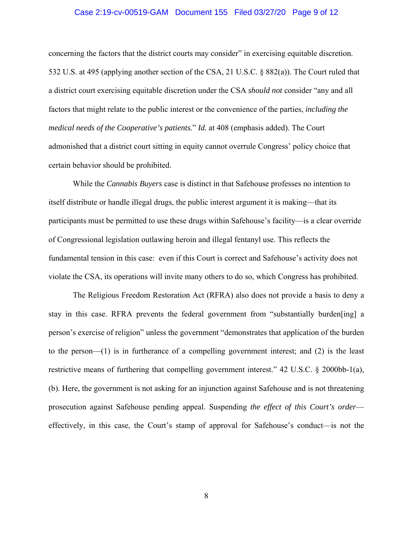## Case 2:19-cv-00519-GAM Document 155 Filed 03/27/20 Page 9 of 12

concerning the factors that the district courts may consider" in exercising equitable discretion. 532 U.S. at 495 (applying another section of the CSA, 21 U.S.C. § 882(a)). The Court ruled that a district court exercising equitable discretion under the CSA *should not* consider "any and all factors that might relate to the public interest or the convenience of the parties, *including the medical needs of the Cooperative's patients.*" *Id.* at 408 (emphasis added). The Court admonished that a district court sitting in equity cannot overrule Congress' policy choice that certain behavior should be prohibited.

While the *Cannabis Buyers* case is distinct in that Safehouse professes no intention to itself distribute or handle illegal drugs, the public interest argument it is making—that its participants must be permitted to use these drugs within Safehouse's facility—is a clear override of Congressional legislation outlawing heroin and illegal fentanyl use. This reflects the fundamental tension in this case: even if this Court is correct and Safehouse's activity does not violate the CSA, its operations will invite many others to do so, which Congress has prohibited.

The Religious Freedom Restoration Act (RFRA) also does not provide a basis to deny a stay in this case. RFRA prevents the federal government from "substantially burden[ing] a person's exercise of religion" unless the government "demonstrates that application of the burden to the person—(1) is in furtherance of a compelling government interest; and (2) is the least restrictive means of furthering that compelling government interest." 42 U.S.C. § 2000bb-1(a), (b). Here, the government is not asking for an injunction against Safehouse and is not threatening prosecution against Safehouse pending appeal. Suspending *the effect of this Court's order* effectively, in this case, the Court's stamp of approval for Safehouse's conduct—is not the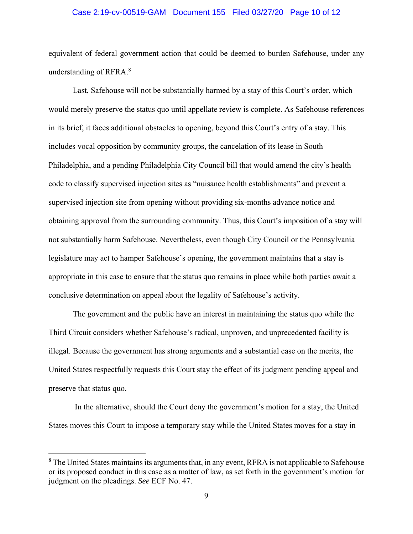### Case 2:19-cv-00519-GAM Document 155 Filed 03/27/20 Page 10 of 12

equivalent of federal government action that could be deemed to burden Safehouse, under any understanding of RFRA. $8$ 

Last, Safehouse will not be substantially harmed by a stay of this Court's order, which would merely preserve the status quo until appellate review is complete. As Safehouse references in its brief, it faces additional obstacles to opening, beyond this Court's entry of a stay. This includes vocal opposition by community groups, the cancelation of its lease in South Philadelphia, and a pending Philadelphia City Council bill that would amend the city's health code to classify supervised injection sites as "nuisance health establishments" and prevent a supervised injection site from opening without providing six-months advance notice and obtaining approval from the surrounding community. Thus, this Court's imposition of a stay will not substantially harm Safehouse. Nevertheless, even though City Council or the Pennsylvania legislature may act to hamper Safehouse's opening, the government maintains that a stay is appropriate in this case to ensure that the status quo remains in place while both parties await a conclusive determination on appeal about the legality of Safehouse's activity.

The government and the public have an interest in maintaining the status quo while the Third Circuit considers whether Safehouse's radical, unproven, and unprecedented facility is illegal. Because the government has strong arguments and a substantial case on the merits, the United States respectfully requests this Court stay the effect of its judgment pending appeal and preserve that status quo.

 In the alternative, should the Court deny the government's motion for a stay, the United States moves this Court to impose a temporary stay while the United States moves for a stay in

 $8$  The United States maintains its arguments that, in any event, RFRA is not applicable to Safehouse or its proposed conduct in this case as a matter of law, as set forth in the government's motion for judgment on the pleadings. *See* ECF No. 47.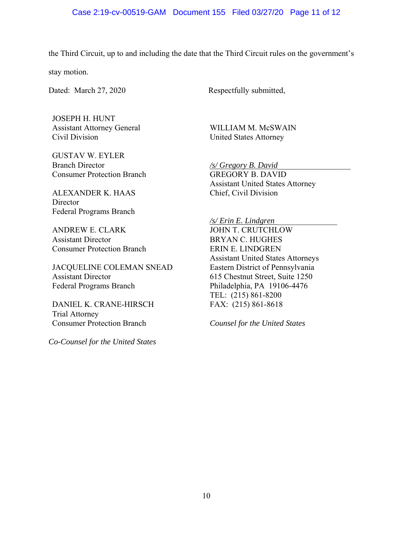the Third Circuit, up to and including the date that the Third Circuit rules on the government's

stay motion.

Dated: March 27, 2020 Respectfully submitted,

JOSEPH H. HUNT Assistant Attorney General Civil Division

GUSTAV W. EYLER Branch Director Consumer Protection Branch

ALEXANDER K. HAAS **Director** Federal Programs Branch

ANDREW E. CLARK Assistant Director Consumer Protection Branch

JACQUELINE COLEMAN SNEAD Assistant Director Federal Programs Branch

DANIEL K. CRANE-HIRSCH Trial Attorney Consumer Protection Branch

*Co-Counsel for the United States*

WILLIAM M. McSWAIN United States Attorney

*/s/ Gregory B. David*\_\_\_\_\_\_\_\_\_\_\_\_\_\_\_\_\_\_ GREGORY B. DAVID Assistant United States Attorney Chief, Civil Division

*/s/ Erin E. Lindgren* \_\_\_\_\_\_\_\_\_\_\_\_\_\_\_

JOHN T. CRUTCHLOW BRYAN C. HUGHES ERIN E. LINDGREN Assistant United States Attorneys Eastern District of Pennsylvania 615 Chestnut Street, Suite 1250 Philadelphia, PA 19106-4476 TEL: (215) 861-8200 FAX: (215) 861-8618

*Counsel for the United States*